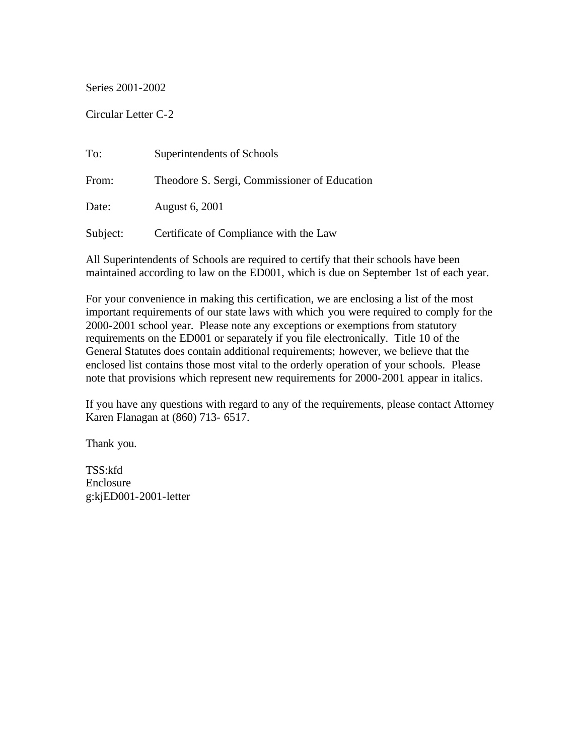Series 2001-2002

Circular Letter C-2

| To:      | Superintendents of Schools                   |
|----------|----------------------------------------------|
| From:    | Theodore S. Sergi, Commissioner of Education |
| Date:    | August 6, 2001                               |
| Subject: | Certificate of Compliance with the Law       |

All Superintendents of Schools are required to certify that their schools have been maintained according to law on the ED001, which is due on September 1st of each year.

For your convenience in making this certification, we are enclosing a list of the most important requirements of our state laws with which you were required to comply for the 2000-2001 school year. Please note any exceptions or exemptions from statutory requirements on the ED001 or separately if you file electronically. Title 10 of the General Statutes does contain additional requirements; however, we believe that the enclosed list contains those most vital to the orderly operation of your schools. Please note that provisions which represent new requirements for 2000-2001 appear in italics.

If you have any questions with regard to any of the requirements, please contact Attorney Karen Flanagan at (860) 713- 6517.

Thank you.

TSS:kfd Enclosure g:kjED001-2001-letter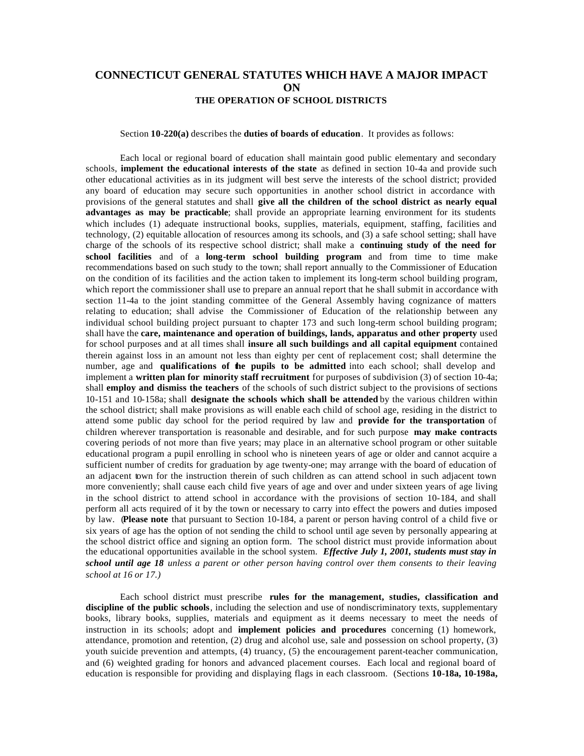## **CONNECTICUT GENERAL STATUTES WHICH HAVE A MAJOR IMPACT ON THE OPERATION OF SCHOOL DISTRICTS**

## Section **10-220(a)** describes the **duties of boards of education**. It provides as follows:

Each local or regional board of education shall maintain good public elementary and secondary schools, **implement the educational interests of the state** as defined in section 10-4a and provide such other educational activities as in its judgment will best serve the interests of the school district; provided any board of education may secure such opportunities in another school district in accordance with provisions of the general statutes and shall **give all the children of the school district as nearly equal advantages as may be practicable**; shall provide an appropriate learning environment for its students which includes (1) adequate instructional books, supplies, materials, equipment, staffing, facilities and technology, (2) equitable allocation of resources among its schools, and (3) a safe school setting; shall have charge of the schools of its respective school district; shall make a **continuing study of the need for school facilities** and of a **long-term school building program** and from time to time make recommendations based on such study to the town; shall report annually to the Commissioner of Education on the condition of its facilities and the action taken to implement its long-term school building program, which report the commissioner shall use to prepare an annual report that he shall submit in accordance with section 11-4a to the joint standing committee of the General Assembly having cognizance of matters relating to education; shall advise the Commissioner of Education of the relationship between any individual school building project pursuant to chapter 173 and such long-term school building program; shall have the **care, maintenance and operation of buildings, lands, apparatus and other property** used for school purposes and at all times shall **insure all such buildings and all capital equipment** contained therein against loss in an amount not less than eighty per cent of replacement cost; shall determine the number, age and **qualifications of the pupils to be admitted** into each school; shall develop and implement a **written plan for minority staff recruitment** for purposes of subdivision (3) of section 10-4a; shall **employ and dismiss the teachers** of the schools of such district subject to the provisions of sections 10-151 and 10-158a; shall **designate the schools which shall be attended** by the various children within the school district; shall make provisions as will enable each child of school age, residing in the district to attend some public day school for the period required by law and **provide for the transportation** of children wherever transportation is reasonable and desirable, and for such purpose **may make contracts**  covering periods of not more than five years; may place in an alternative school program or other suitable educational program a pupil enrolling in school who is nineteen years of age or older and cannot acquire a sufficient number of credits for graduation by age twenty-one; may arrange with the board of education of an adjacent town for the instruction therein of such children as can attend school in such adjacent town more conveniently; shall cause each child five years of age and over and under sixteen years of age living in the school district to attend school in accordance with the provisions of section 10-184, and shall perform all acts required of it by the town or necessary to carry into effect the powers and duties imposed by law. (**Please note** that pursuant to Section 10-184, a parent or person having control of a child five or six years of age has the option of not sending the child to school until age seven by personally appearing at the school district office and signing an option form. The school district must provide information about the educational opportunities available in the school system. *Effective July 1, 2001, students must stay in school until age 18 unless a parent or other person having control over them consents to their leaving school at 16 or 17.)* 

Each school district must prescribe **rules for the management, studies, classification and discipline of the public schools**, including the selection and use of nondiscriminatory texts, supplementary books, library books, supplies, materials and equipment as it deems necessary to meet the needs of instruction in its schools; adopt and **implement policies and procedures** concerning (1) homework, attendance, promotion and retention, (2) drug and alcohol use, sale and possession on school property, (3) youth suicide prevention and attempts, (4) truancy, (5) the encouragement parent-teacher communication*,*  and (6) weighted grading for honors and advanced placement courses. Each local and regional board of education is responsible for providing and displaying flags in each classroom. (Sections **10-18a, 10-198a,**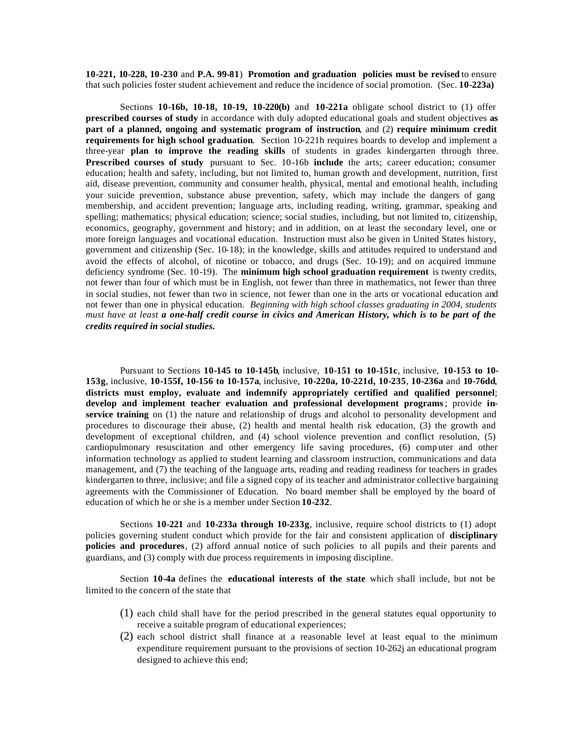**10-221, 10-228, 10-230** and **P.A. 99-81**) **Promotion and graduation policies must be revised** to ensure that such policies foster student achievement and reduce the incidence of social promotion*.* (Sec. **10-223a)** 

Sections **10-16b, 10-18, 10-19, 10-220(b)** and **10-221a** obligate school district to (1) offer **prescribed courses of study** in accordance with duly adopted educational goals and student objectives **as part of a planned, ongoing and systematic program of instruction**, and (2) **require minimum credit requirements for high school graduation**. Section 10-221h requires boards to develop and implement a three-year **plan to improve the reading skills** of students in grades kindergarten through three*.*  **Prescribed courses of study** pursuant to Sec. 10-16b **include** the arts; career education; consumer education; health and safety, including, but not limited to, human growth and development, nutrition, first aid, disease prevention, community and consumer health, physical, mental and emotional health, including your suicide prevention, substance abuse prevention, safety, which may include the dangers of gang membership, and accident prevention; language arts, including reading, writing, grammar, speaking and spelling; mathematics; physical education; science; social studies, including, but not limited to, citizenship, economics, geography, government and history; and in addition, on at least the secondary level, one or more foreign languages and vocational education. Instruction must also be given in United States history, government and citizenship (Sec. 10-18); in the knowledge, skills and attitudes required to understand and avoid the effects of alcohol, of nicotine or tobacco, and drugs (Sec. 10-19); and on acquired immune deficiency syndrome (Sec. 10-19). The **minimum high school graduation requirement** is twenty credits, not fewer than four of which must be in English, not fewer than three in mathematics, not fewer than three in social studies, not fewer than two in science, not fewer than one in the arts or vocational education and not fewer than one in physical education. *Beginning with high school classes graduating in 2004, students must have at least a one-half credit course in civics and American History, which is to be part of the credits required in social studies.* 

Pursuant to Sections **10-145 to 10-145b**, inclusive, **10-151 to 10-151c**, inclusive, **10-153 to 10- 153g**, inclusive, **10-155f, 10-156 to 10-157a**, inclusive, **10-220a, 10-221d, 10-235**, **10-236a** and **10-76dd**, **districts must employ, evaluate and indemnify appropriately certified and qualified personnel**; **develop and implement teacher evaluation and professional development programs** ; provide **inservice training** on (1) the nature and relationship of drugs and alcohol to personality development and procedures to discourage their abuse, (2) health and mental health risk education, (3) the growth and development of exceptional children, and (4) school violence prevention and conflict resolution, (5) cardiopulmonary resuscitation and other emergency life saving procedures, (6) comp uter and other information technology as applied to student learning and classroom instruction, communications and data management, and (7) the teaching of the language arts, reading and reading readiness for teachers in grades kindergarten to three*,* inclusive; and file a signed copy of its teacher and administrator collective bargaining agreements with the Commissioner of Education. No board member shall be employed by the board of education of which he or she is a member under Section **10-232**.

Sections **10-221** and **10-233a through 10-233g**, inclusive, require school districts to (1) adopt policies governing student conduct which provide for the fair and consistent application of **disciplinary policies and procedures**, (2) afford annual notice of such policies to all pupils and their parents and guardians, and (3) comply with due process requirements in imposing discipline.

Section **10-4a** defines the **educational interests of the state** which shall include, but not be limited to the concern of the state that

- (1) each child shall have for the period prescribed in the general statutes equal opportunity to receive a suitable program of educational experiences;
- (2) each school district shall finance at a reasonable level at least equal to the minimum expenditure requirement pursuant to the provisions of section 10-262j an educational program designed to achieve this end;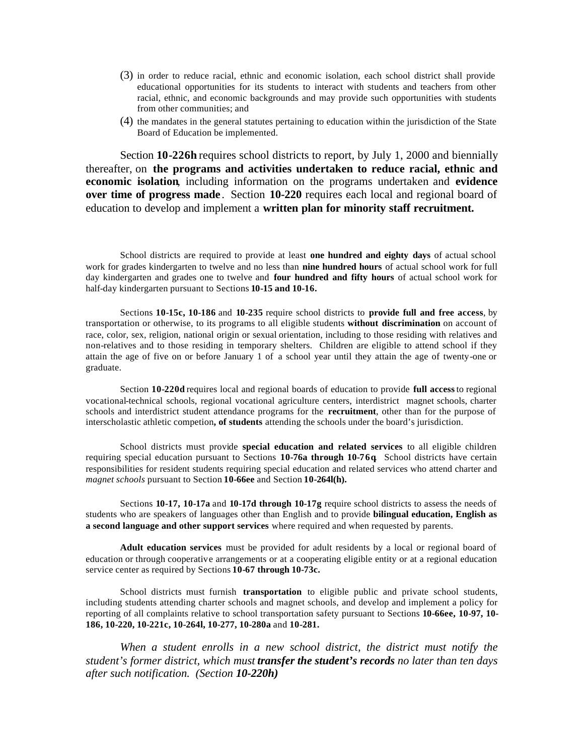- (3) in order to reduce racial, ethnic and economic isolation, each school district shall provide educational opportunities for its students to interact with students and teachers from other racial, ethnic, and economic backgrounds and may provide such opportunities with students from other communities; and
- (4) the mandates in the general statutes pertaining to education within the jurisdiction of the State Board of Education be implemented.

Section **10-226h** requires school districts to report, by July 1, 2000 and biennially thereafter, on **the programs and activities undertaken to reduce racial, ethnic and economic isolation**, including information on the programs undertaken and **evidence over time of progress made** . Section **10-220** requires each local and regional board of education to develop and implement a **written plan for minority staff recruitment.** 

School districts are required to provide at least **one hundred and eighty days** of actual school work for grades kindergarten to twelve and no less than **nine hundred hours** of actual school work for full day kindergarten and grades one to twelve and **four hundred and fifty hours** of actual school work for half-day kindergarten pursuant to Sections **10-15 and 10-16.** 

Sections **10-15c, 10-186** and **10-235** require school districts to **provide full and free access**, by transportation or otherwise, to its programs to all eligible students **without discrimination** on account of race, color, sex, religion, national origin or sexual orientation*,* including to those residing with relatives and non-relatives and to those residing in temporary shelters. Children are eligible to attend school if they attain the age of five on or before January 1 of a school year until they attain the age of twenty-one or graduate.

Section **10-220d** requires local and regional boards of education to provide **full access** to regional vocational-technical schools, regional vocational agriculture centers, interdistrict magnet schools, charter schools and interdistrict student attendance programs for the **recruitment**, other than for the purpose of interscholastic athletic competion**, of students** attending the schools under the board's jurisdiction.

School districts must provide **special education and related services** to all eligible children requiring special education pursuant to Sections **10-76a through 10-76q**. School districts have certain responsibilities for resident students requiring special education and related services who attend charter and *magnet schools* pursuant to Section **10-66ee** and Section **10-264l(h).** 

Sections **10-17, 10-17a** and **10-17d through 10-17g** require school districts to assess the needs of students who are speakers of languages other than English and to provide **bilingual education, English as a second language and other support services** where required and when requested by parents.

**Adult education services** must be provided for adult residents by a local or regional board of education or through cooperative arrangements or at a cooperating eligible entity or at a regional education service center as required by Sections **10-67 through 10-73c.** 

School districts must furnish **transportation** to eligible public and private school students, including students attending charter schools and magnet schools, and develop and implement a policy for reporting of all complaints relative to school transportation safety pursuant to Sections **10-66ee, 10-97, 10- 186, 10-220, 10-221c, 10-264l, 10-277, 10-280a** and **10-281.** 

*When a student enrolls in a new school district, the district must notify the student's former district, which must transfer the student's records no later than ten days after such notification. (Section 10-220h)*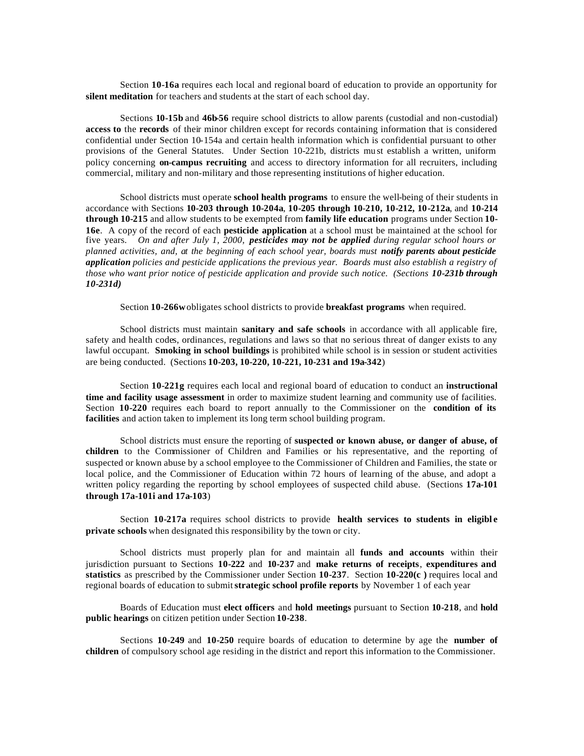Section **10-16a** requires each local and regional board of education to provide an opportunity for **silent meditation** for teachers and students at the start of each school day.

Sections **10-15b** and **46b-56** require school districts to allow parents (custodial and non-custodial) **access to** the **records** of their minor children except for records containing information that is considered confidential under Section 10-154a and certain health information which is confidential pursuant to other provisions of the General Statutes. Under Section 10-221b, districts mu st establish a written, uniform policy concerning **on-campus recruiting** and access to directory information for all recruiters, including commercial, military and non-military and those representing institutions of higher education.

School districts must operate **school health programs** to ensure the well-being of their students in accordance with Sections **10-203 through 10-204a**, **10-205 through 10**-**210, 10-212, 10-212a**, and **10-214 through 10-215** and allow students to be exempted from **family life education** programs under Section **10- 16e**. A copy of the record of each **pesticide application** at a school must be maintained at the school for five years. *On and after July 1, 2000, pesticides may not be applied during regular school hours or planned activities, and, at the beginning of each school year, boards must notify parents about pesticide application policies and pesticide applications the previous year. Boards must also establish a registry of those who want prior notice of pesticide application and provide such notice. (Sections 10-231b through 10-231d)* 

Section **10-266w** obligates school districts to provide **breakfast programs** when required.

School districts must maintain **sanitary and safe schools** in accordance with all applicable fire, safety and health codes, ordinances, regulations and laws so that no serious threat of danger exists to any lawful occupant. **Smoking in school buildings** is prohibited while school is in session or student activities are being conducted. (Sections **10-203, 10-220, 10-221, 10-231 and 19a-342**)

Section **10-221g** requires each local and regional board of education to conduct an **instructional time and facility usage assessment** in order to maximize student learning and community use of facilities. Section **10-220** requires each board to report annually to the Commissioner on the **condition of its facilities** and action taken to implement its long term school building program.

School districts must ensure the reporting of **suspected or known abuse, or danger of abuse, of children** to the Commissioner of Children and Families or his representative, and the reporting of suspected or known abuse by a school employee to the Commissioner of Children and Families, the state or local police, and the Commissioner of Education within 72 hours of learning of the abuse, and adopt a written policy regarding the reporting by school employees of suspected child abuse. (Sections **17a-101 through 17a-101i and 17a-103**)

Section **10-217a** requires school districts to provide **health services to students in eligibl e private schools** when designated this responsibility by the town or city.

School districts must properly plan for and maintain all **funds and accounts** within their jurisdiction pursuant to Sections **10-222** and **10-237** and **make returns of receipts** , **expenditures and statistics** as prescribed by the Commissioner under Section **10-237**. Section **10-220(c )** requires local and regional boards of education to submit **strategic school profile reports** by November 1 of each year

Boards of Education must **elect officers** and **hold meetings** pursuant to Section **10-218**, and **hold public hearings** on citizen petition under Section **10-238**.

Sections **10-249** and **10-250** require boards of education to determine by age the **number of children** of compulsory school age residing in the district and report this information to the Commissioner.